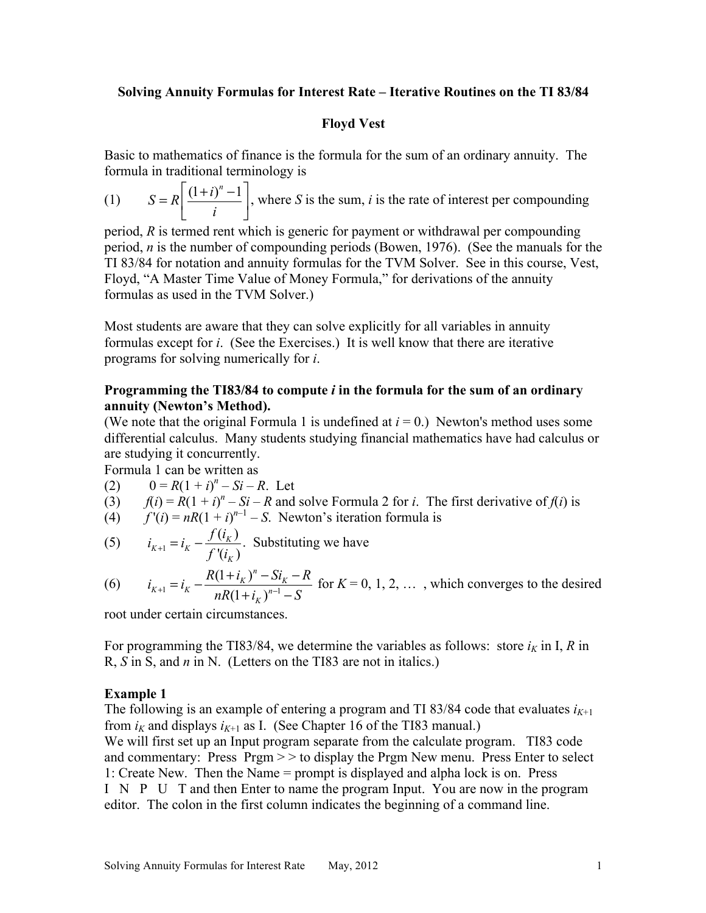#### **Solving Annuity Formulas for Interest Rate – Iterative Routines on the TI 83/84**

#### **Floyd Vest**

Basic to mathematics of finance is the formula for the sum of an ordinary annuity. The formula in traditional terminology is

(1) 
$$
S = R \left[ \frac{(1+i)^n - 1}{i} \right], \text{ where } S \text{ is the sum, } i \text{ is the rate of interest per compounding}
$$

period, *R* is termed rent which is generic for payment or withdrawal per compounding period, *n* is the number of compounding periods (Bowen, 1976). (See the manuals for the TI 83/84 for notation and annuity formulas for the TVM Solver. See in this course, Vest, Floyd, "A Master Time Value of Money Formula," for derivations of the annuity formulas as used in the TVM Solver.)

Most students are aware that they can solve explicitly for all variables in annuity formulas except for *i*. (See the Exercises.) It is well know that there are iterative programs for solving numerically for *i*.

# **Programming the TI83/84 to compute** *i* **in the formula for the sum of an ordinary annuity (Newton's Method).**

(We note that the original Formula 1 is undefined at  $i = 0$ .) Newton's method uses some differential calculus. Many students studying financial mathematics have had calculus or are studying it concurrently.

Formula 1 can be written as

(2) 
$$
0 = R(1 + i)^n - Si - R.
$$
 Let

(3) 
$$
f(i) = R(1 + i)^n - Si - R
$$
 and solve Formula 2 for *i*. The first derivative of  $f(i)$  is

(4) 
$$
f'(i) = nR(1 + i)^{n-1} - S
$$
. Newton's iteration formula is

(5) 
$$
i_{K+1} = i_K - \frac{f(i_K)}{f'(i_K)}
$$
. Substituting we have

(6) 
$$
i_{K+1} = i_K - \frac{R(1+i_K)^n - Si_K - R}{nR(1+i_K)^{n-1} - S}
$$
 for  $K = 0, 1, 2, ...$ , which converges to the desired

root under certain circumstances.

For programming the TI83/84, we determine the variables as follows: store  $i_K$  in I, R in R, *S* in S, and *n* in N. (Letters on the TI83 are not in italics.)

### **Example 1**

The following is an example of entering a program and TI 83/84 code that evaluates  $i_{K+1}$ from  $i_K$  and displays  $i_{K+1}$  as I. (See Chapter 16 of the TI83 manual.)

We will first set up an Input program separate from the calculate program. TI83 code and commentary: Press Prgm  $\geq$  to display the Prgm New menu. Press Enter to select 1: Create New. Then the Name = prompt is displayed and alpha lock is on. Press I N P U T and then Enter to name the program Input. You are now in the program editor. The colon in the first column indicates the beginning of a command line.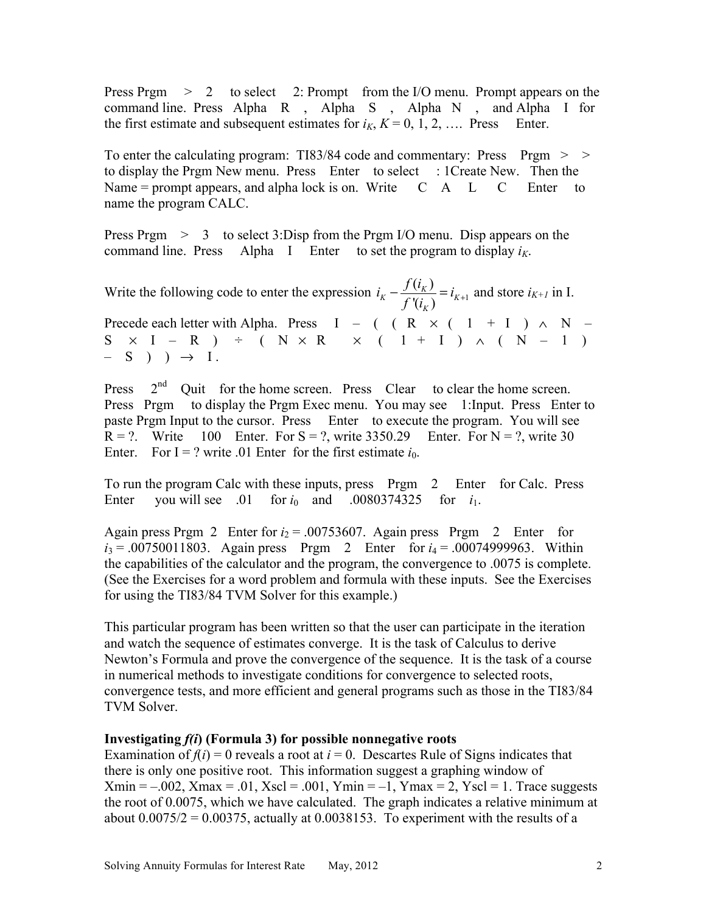Press Prgm > 2 to select 2: Prompt from the I/O menu. Prompt appears on the command line. Press Alpha R , Alpha S , Alpha N , and Alpha I for the first estimate and subsequent estimates for  $i_K$ ,  $K = 0, 1, 2, \ldots$  Press Enter.

To enter the calculating program: TI83/84 code and commentary: Press Prgm  $>$  > to display the Prgm New menu. Press Enter to select : 1Create New. Then the Name  $=$  prompt appears, and alpha lock is on. Write  $C \cap A$  L C Enter to name the program CALC.

Press Prgm > 3 to select 3:Disp from the Prgm I/O menu. Disp appears on the command line. Press Alpha I Enter to set the program to display  $i_K$ .

Write the following code to enter the expression  $i_k - \frac{f(i_k)}{f(i_k)} = i_{k+1}$  $'(i_{\kappa})$  $K - \frac{J(V_K)}{V(K)} = i_K$ *K*  $i_K - \frac{f(i_K)}{f'(i_K)} = i_{K+1}$  and store  $i_{K+1}$  in I. Precede each letter with Alpha. Press  $I - ( (R \times (1 + I)) \wedge N S \times I - R$  ) ÷ (  $N \times R \times (1 + I) \wedge (N - 1)$  $- S$  )  $) \rightarrow I$ .

Press  $2<sup>nd</sup>$  Quit for the home screen. Press Clear to clear the home screen. Press Prgm to display the Prgm Exec menu. You may see 1:Input. Press Enter to paste Prgm Input to the cursor. Press Enter to execute the program. You will see  $R = ?$ . Write 100 Enter. For  $S = ?$ , write 3350.29 Enter. For  $N = ?$ , write 30 Enter. For  $I = ?$  write .01 Enter for the first estimate  $i_0$ .

To run the program Calc with these inputs, press Prgm 2 Enter for Calc. Press Enter you will see .01 for  $i_0$  and .0080374325 for  $i_1$ .

Again press Prgm 2 Enter for  $i_2$  = .00753607. Again press Prgm 2 Enter for  $i_3 = .00750011803$ . Again press Prgm 2 Enter for  $i_4 = .00074999963$ . Within the capabilities of the calculator and the program, the convergence to .0075 is complete. (See the Exercises for a word problem and formula with these inputs. See the Exercises for using the TI83/84 TVM Solver for this example.)

This particular program has been written so that the user can participate in the iteration and watch the sequence of estimates converge. It is the task of Calculus to derive Newton's Formula and prove the convergence of the sequence. It is the task of a course in numerical methods to investigate conditions for convergence to selected roots, convergence tests, and more efficient and general programs such as those in the TI83/84 TVM Solver.

### **Investigating** *f(i***) (Formula 3) for possible nonnegative roots**

Examination of  $f(i) = 0$  reveals a root at  $i = 0$ . Descartes Rule of Signs indicates that there is only one positive root. This information suggest a graphing window of  $Xmin = -.002$ ,  $Xmax = .01$ ,  $Xsel = .001$ ,  $Ymin = -1$ ,  $Ymax = 2$ ,  $Ysel = 1$ . Trace suggests the root of 0.0075, which we have calculated. The graph indicates a relative minimum at about  $0.0075/2 = 0.00375$ , actually at  $0.0038153$ . To experiment with the results of a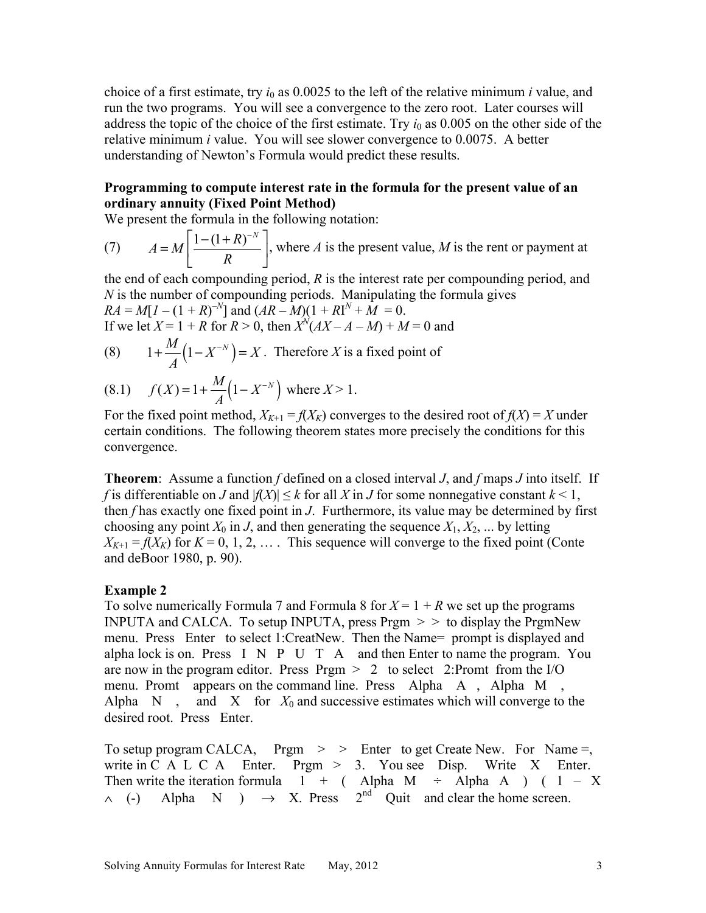choice of a first estimate, try *i*<sup>0</sup> as 0.0025 to the left of the relative minimum *i* value, and run the two programs. You will see a convergence to the zero root. Later courses will address the topic of the choice of the first estimate. Try *i*<sup>0</sup> as 0.005 on the other side of the relative minimum *i* value. You will see slower convergence to 0.0075. A better understanding of Newton's Formula would predict these results.

# **Programming to compute interest rate in the formula for the present value of an ordinary annuity (Fixed Point Method)**

We present the formula in the following notation:

(7) 
$$
A = M \left[ \frac{1 - (1 + R)^{-N}}{R} \right]
$$
, where *A* is the present value, *M* is the rent or payment at

the end of each compounding period, *R* is the interest rate per compounding period, and *N* is the number of compounding periods. Manipulating the formula gives  $RA = M[I - (1 + R)^{-N}]$  and  $(AR - M)(1 + RI^N + M = 0)$ . If we let  $X = 1 + R$  for  $R > 0$ , then  $X^N (AX - A - M) + M = 0$  and

(8) 
$$
1 + \frac{M}{A} (1 - X^{-N}) = X
$$
. Therefore *X* is a fixed point of

(8.1) 
$$
f(X) = 1 + \frac{M}{A} (1 - X^{-N})
$$
 where  $X > 1$ .

For the fixed point method,  $X_{K+1} = f(X_K)$  converges to the desired root of  $f(X) = X$  under certain conditions. The following theorem states more precisely the conditions for this convergence.

**Theorem**: Assume a function *f* defined on a closed interval *J*, and *f* maps *J* into itself. If *f* is differentiable on *J* and  $|f(X)| \leq k$  for all *X* in *J* for some nonnegative constant  $k < 1$ , then *f* has exactly one fixed point in *J*. Furthermore, its value may be determined by first choosing any point  $X_0$  in *J*, and then generating the sequence  $X_1, X_2, ...$  by letting  $X_{K+1} = f(X_K)$  for  $K = 0, 1, 2, \ldots$ . This sequence will converge to the fixed point (Conte and deBoor 1980, p. 90).

### **Example 2**

To solve numerically Formula 7 and Formula 8 for  $X = 1 + R$  we set up the programs INPUTA and CALCA. To setup INPUTA, press  $P$ rgm  $> 0$  to display the PrgmNew menu. Press Enter to select 1:CreatNew. Then the Name= prompt is displayed and alpha lock is on. Press  $I \ N P U T A$  and then Enter to name the program. You are now in the program editor. Press Prgm  $> 2$  to select 2:Promt from the I/O menu. Promt appears on the command line. Press Alpha A , Alpha M , Alpha N , and X for  $X_0$  and successive estimates which will converge to the desired root. Press Enter.

To setup program CALCA, Prgm  $>$  > Enter to get Create New. For Name =, write in C A L C A Enter. Prgm  $> 3$ . You see Disp. Write X Enter. Then write the iteration formula  $1 + ($  Alpha M  $\div$  Alpha A ) (  $1 - X$  $\wedge$  (-) Alpha N )  $\rightarrow$  X. Press  $2^{nd}$  Quit and clear the home screen.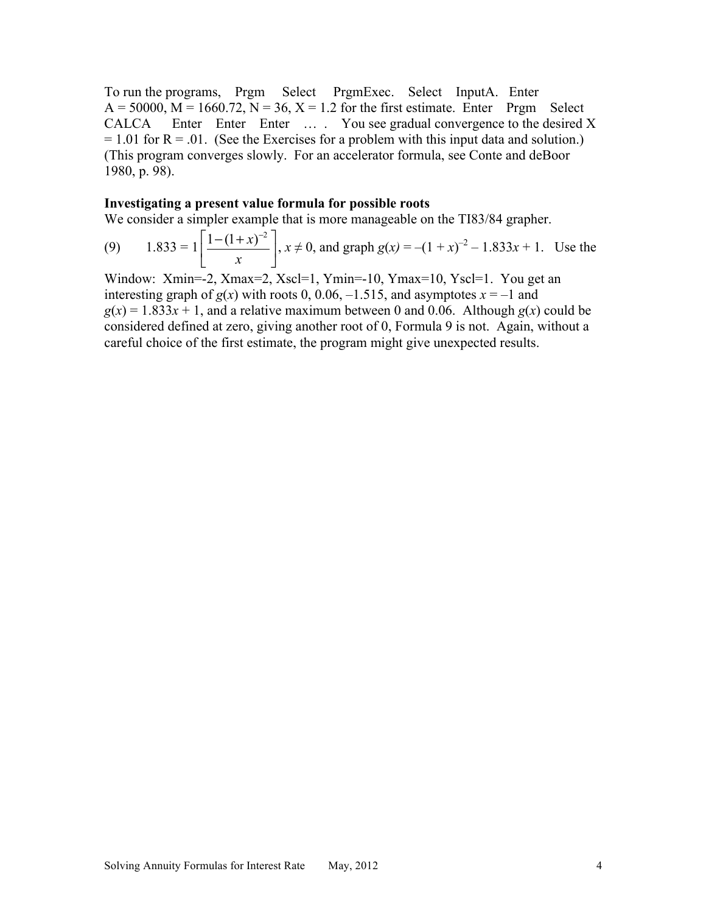To run the programs, Prgm Select PrgmExec. Select InputA. Enter  $A = 50000$ ,  $M = 1660.72$ ,  $N = 36$ ,  $X = 1.2$  for the first estimate. Enter Prgm Select CALCA Enter Enter Enter ... You see gradual convergence to the desired X  $= 1.01$  for R = .01. (See the Exercises for a problem with this input data and solution.) (This program converges slowly. For an accelerator formula, see Conte and deBoor 1980, p. 98).

#### **Investigating a present value formula for possible roots**

We consider a simpler example that is more manageable on the TI83/84 grapher.

(9) 
$$
1.833 = 1 \left[ \frac{1 - (1 + x)^{-2}}{x} \right], x \neq 0, \text{ and graph } g(x) = -(1 + x)^{-2} - 1.833x + 1. \text{ Use the}
$$

Window: Xmin=-2, Xmax=2, Xscl=1, Ymin=-10, Ymax=10, Yscl=1. You get an interesting graph of  $g(x)$  with roots 0, 0.06, -1.515, and asymptotes  $x = -1$  and  $g(x) = 1.833x + 1$ , and a relative maximum between 0 and 0.06. Although  $g(x)$  could be considered defined at zero, giving another root of 0, Formula 9 is not. Again, without a careful choice of the first estimate, the program might give unexpected results.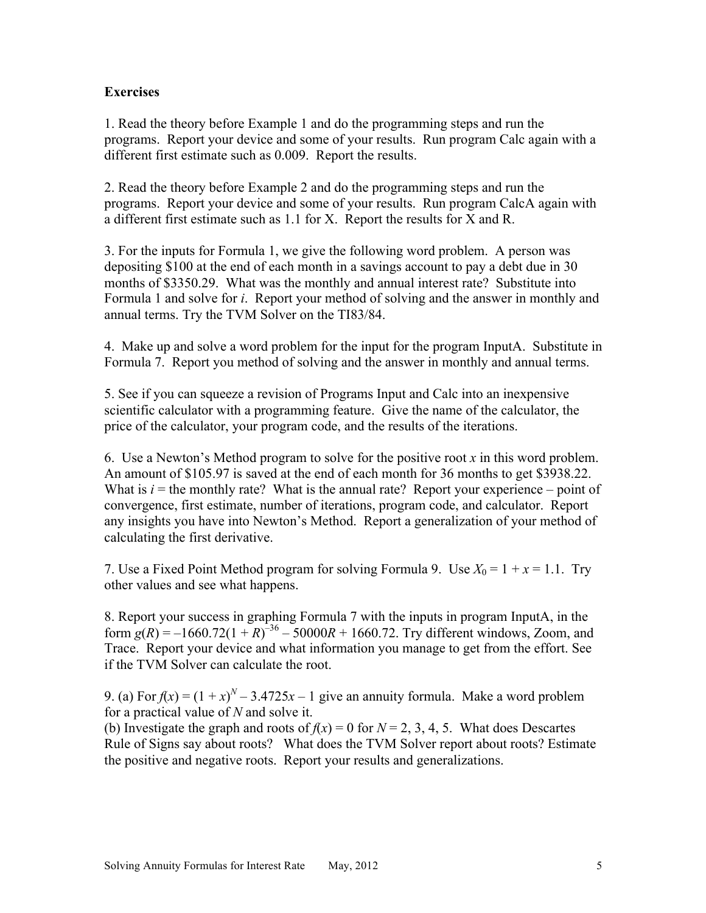# **Exercises**

1. Read the theory before Example 1 and do the programming steps and run the programs. Report your device and some of your results. Run program Calc again with a different first estimate such as 0.009. Report the results.

2. Read the theory before Example 2 and do the programming steps and run the programs. Report your device and some of your results. Run program CalcA again with a different first estimate such as 1.1 for X. Report the results for X and R.

3. For the inputs for Formula 1, we give the following word problem. A person was depositing \$100 at the end of each month in a savings account to pay a debt due in 30 months of \$3350.29. What was the monthly and annual interest rate? Substitute into Formula 1 and solve for *i*. Report your method of solving and the answer in monthly and annual terms. Try the TVM Solver on the TI83/84.

4. Make up and solve a word problem for the input for the program InputA. Substitute in Formula 7. Report you method of solving and the answer in monthly and annual terms.

5. See if you can squeeze a revision of Programs Input and Calc into an inexpensive scientific calculator with a programming feature. Give the name of the calculator, the price of the calculator, your program code, and the results of the iterations.

6. Use a Newton's Method program to solve for the positive root *x* in this word problem. An amount of \$105.97 is saved at the end of each month for 36 months to get \$3938.22. What is  $i =$  the monthly rate? What is the annual rate? Report your experience – point of convergence, first estimate, number of iterations, program code, and calculator. Report any insights you have into Newton's Method. Report a generalization of your method of calculating the first derivative.

7. Use a Fixed Point Method program for solving Formula 9. Use  $X_0 = 1 + x = 1.1$ . Try other values and see what happens.

8. Report your success in graphing Formula 7 with the inputs in program InputA, in the form  $g(R) = -1660.72(1 + R)^{-36} - 50000R + 1660.72$ . Try different windows, Zoom, and Trace. Report your device and what information you manage to get from the effort. See if the TVM Solver can calculate the root.

9. (a) For  $f(x) = (1 + x)^N - 3.4725x - 1$  give an annuity formula. Make a word problem for a practical value of *N* and solve it.

(b) Investigate the graph and roots of  $f(x) = 0$  for  $N = 2, 3, 4, 5$ . What does Descartes Rule of Signs say about roots? What does the TVM Solver report about roots? Estimate the positive and negative roots. Report your results and generalizations.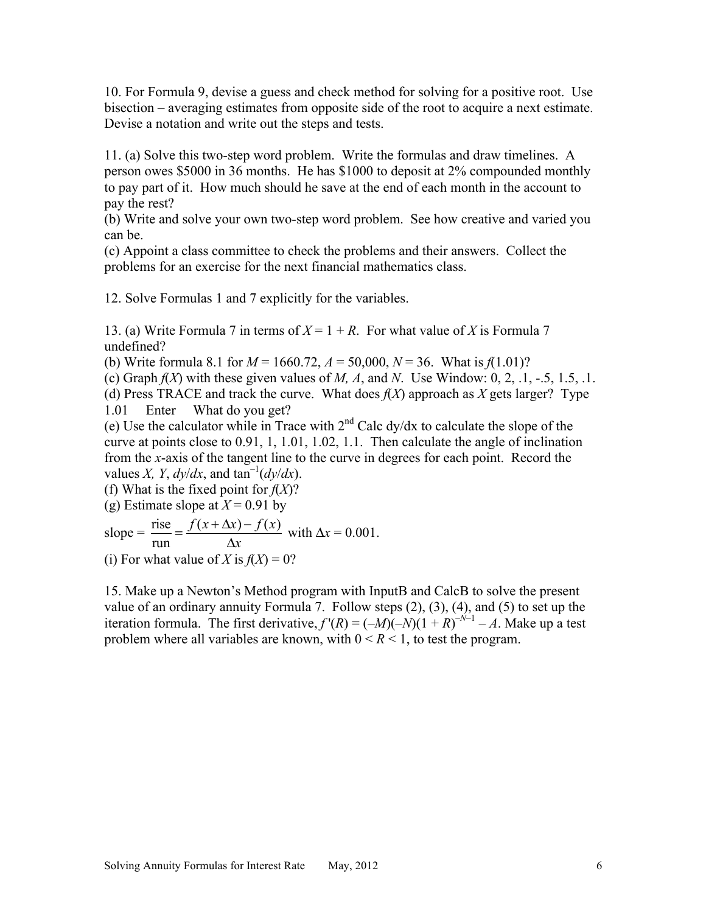10. For Formula 9, devise a guess and check method for solving for a positive root. Use bisection – averaging estimates from opposite side of the root to acquire a next estimate. Devise a notation and write out the steps and tests.

11. (a) Solve this two-step word problem. Write the formulas and draw timelines. A person owes \$5000 in 36 months. He has \$1000 to deposit at 2% compounded monthly to pay part of it. How much should he save at the end of each month in the account to pay the rest?

(b) Write and solve your own two-step word problem. See how creative and varied you can be.

(c) Appoint a class committee to check the problems and their answers. Collect the problems for an exercise for the next financial mathematics class.

12. Solve Formulas 1 and 7 explicitly for the variables.

13. (a) Write Formula 7 in terms of  $X = 1 + R$ . For what value of X is Formula 7 undefined?

(b) Write formula 8.1 for *M* = 1660.72, *A* = 50,000, *N* = 36. What is *f*(1.01)?

(c) Graph *f*(*X*) with these given values of *M, A*, and *N*. Use Window: 0, 2, .1, -.5, 1.5, .1.

(d) Press TRACE and track the curve. What does *f*(*X*) approach as *X* gets larger? Type 1.01 Enter What do you get?

(e) Use the calculator while in Trace with  $2<sup>nd</sup>$  Calc dy/dx to calculate the slope of the curve at points close to 0.91, 1, 1.01, 1.02, 1.1. Then calculate the angle of inclination from the *x*-axis of the tangent line to the curve in degrees for each point. Record the values *X*, *Y*,  $dy/dx$ , and  $\tan^{-1}(dy/dx)$ .

(f) What is the fixed point for  $f(X)$ ?

(g) Estimate slope at  $X = 0.91$  by

 $slope = \frac{rise}{run} = \frac{f(x + \Delta x) - f(x)}{\Delta x}$ with  $\Delta x = 0.001$ . (i) For what value of *X* is  $f(X) = 0$ ?

15. Make up a Newton's Method program with InputB and CalcB to solve the present value of an ordinary annuity Formula 7. Follow steps (2), (3), (4), and (5) to set up the iteration formula. The first derivative,  $f'(R) = (-M)(-N)(1 + R)^{-N-1} - A$ . Make up a test problem where all variables are known, with  $0 \le R \le 1$ , to test the program.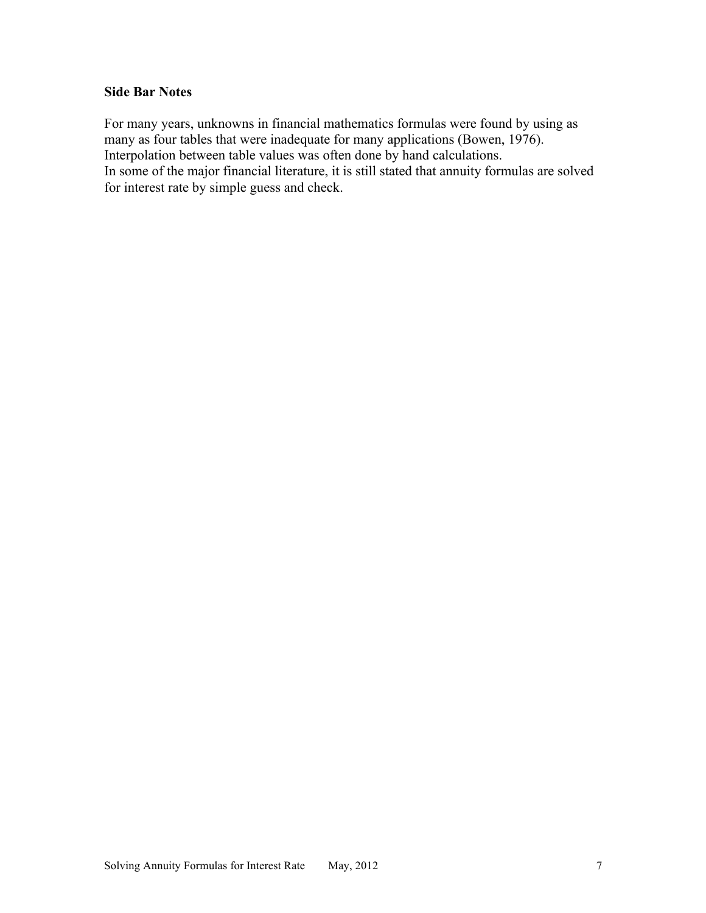### **Side Bar Notes**

For many years, unknowns in financial mathematics formulas were found by using as many as four tables that were inadequate for many applications (Bowen, 1976). Interpolation between table values was often done by hand calculations. In some of the major financial literature, it is still stated that annuity formulas are solved for interest rate by simple guess and check.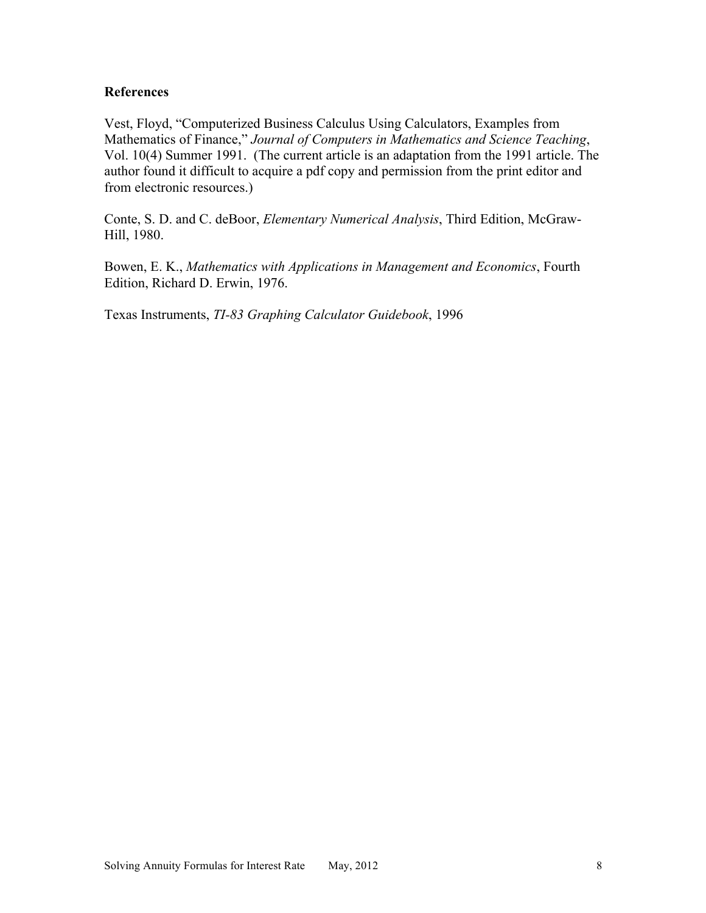## **References**

Vest, Floyd, "Computerized Business Calculus Using Calculators, Examples from Mathematics of Finance," *Journal of Computers in Mathematics and Science Teaching*, Vol. 10(4) Summer 1991. (The current article is an adaptation from the 1991 article. The author found it difficult to acquire a pdf copy and permission from the print editor and from electronic resources.)

Conte, S. D. and C. deBoor, *Elementary Numerical Analysis*, Third Edition, McGraw-Hill, 1980.

Bowen, E. K., *Mathematics with Applications in Management and Economics*, Fourth Edition, Richard D. Erwin, 1976.

Texas Instruments, *TI-83 Graphing Calculator Guidebook*, 1996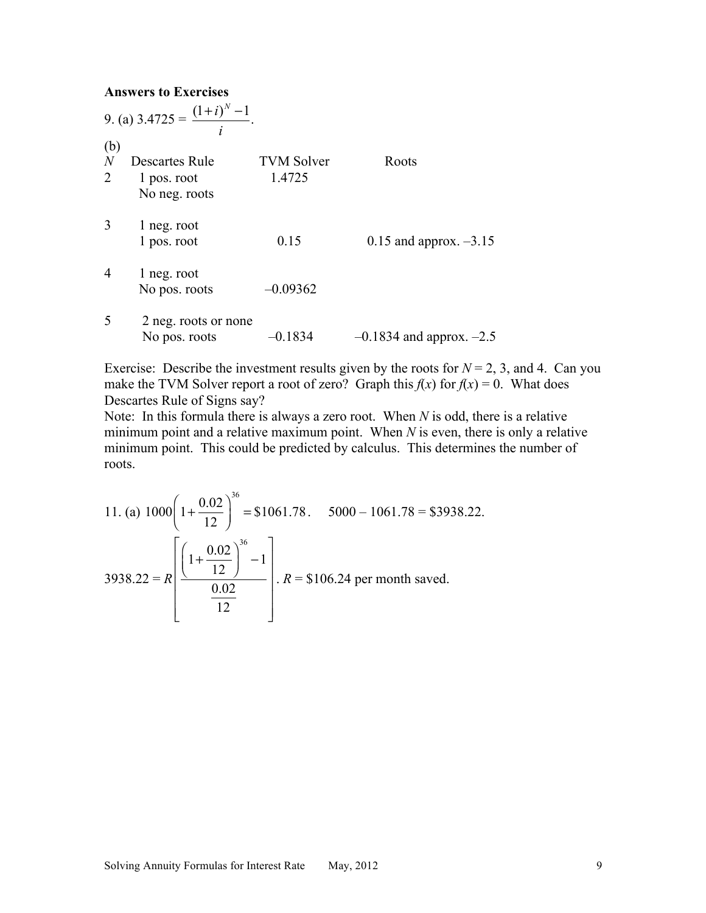#### **Answers to Exercises**

|                            | 9. (a) $3.4725 = \frac{(1+i)^N - 1}{i}$ .      |                             |                              |
|----------------------------|------------------------------------------------|-----------------------------|------------------------------|
| (b)<br>$\overline{N}$<br>2 | Descartes Rule<br>1 pos. root<br>No neg. roots | <b>TVM Solver</b><br>1.4725 | Roots                        |
| 3                          | 1 neg. root<br>1 pos. root                     | 0.15                        | $0.15$ and approx. $-3.15$   |
| $\overline{4}$             | 1 neg. root<br>No pos. roots                   | $-0.09362$                  |                              |
| 5                          | 2 neg. roots or none<br>No pos. roots          | $-0.1834$                   | $-0.1834$ and approx. $-2.5$ |

Exercise: Describe the investment results given by the roots for  $N = 2$ , 3, and 4. Can you make the TVM Solver report a root of zero? Graph this  $f(x)$  for  $f(x) = 0$ . What does Descartes Rule of Signs say?

Note: In this formula there is always a zero root. When *N* is odd, there is a relative minimum point and a relative maximum point. When *N* is even, there is only a relative minimum point. This could be predicted by calculus. This determines the number of roots.

11. (a) 
$$
1000\left(1+\frac{0.02}{12}\right)^{36} = $1061.78
$$
.  $5000 - 1061.78 = $3938.22$ .  
\n $3938.22 = R\left[\frac{\left(1+\frac{0.02}{12}\right)^{36} - 1}{\frac{0.02}{12}}\right]$ .  $R = $106.24$  per month saved.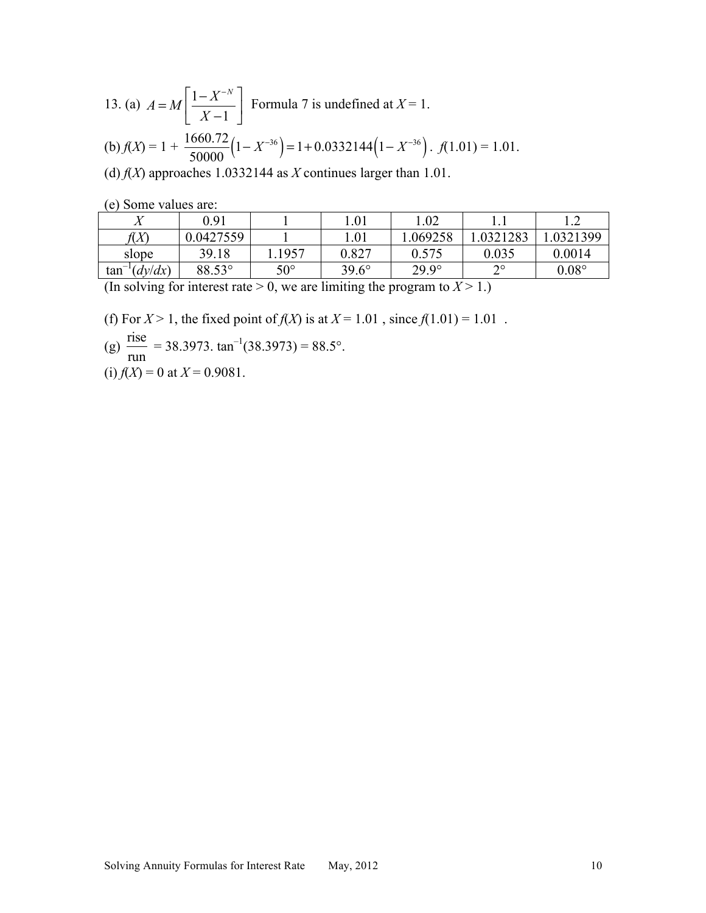13. (a) 
$$
A = M \left[ \frac{1 - X^{-N}}{X - 1} \right]
$$
 Formula 7 is undefined at  $X = 1$ .  
\n(b)  $f(X) = 1 + \frac{1660.72}{50000} (1 - X^{-36}) = 1 + 0.0332144 (1 - X^{-36})$ .  $f(1.01) = 1.01$ .

(d)  $f(X)$  approaches 1.0332144 as *X* continues larger than 1.01.

(e) Some values are:

| ∡⊾                                        | 0.91          |              | .01          | 1.02         |                       | . . <u>.</u> |
|-------------------------------------------|---------------|--------------|--------------|--------------|-----------------------|--------------|
| f(X)                                      | 0.0427559     |              | $1.01\,$     | .069258      | .0321283              | 0321399      |
| slope                                     | 39.18         | .1957        | 0.827        | 0.575        | 0.035                 | 0.0014       |
| $\int d\mathbf{v}/d\mathbf{x}$<br>$tan^-$ | $88.53^\circ$ | $50^{\circ}$ | $39.6^\circ$ | $29.9^\circ$ | $\mathcal{D}^{\circ}$ | $0.08^\circ$ |

(In solving for interest rate  $> 0$ , we are limiting the program to  $X > 1$ .)

(f) For  $X > 1$ , the fixed point of  $f(X)$  is at  $X = 1.01$ , since  $f(1.01) = 1.01$ .

 $(g)$  rise run  $=$  38.3973. tan<sup>-1</sup>(38.3973) = 88.5°.

(i)  $f(X) = 0$  at  $X = 0.9081$ .